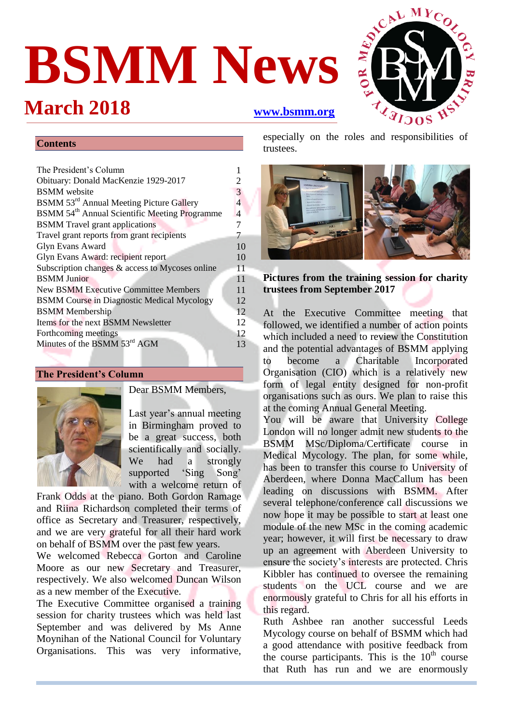# **BSMM News**

## **March 2018 [www.bsmm.org](file:///C:/Users/Louise/BSMM%20stuff/BSMM%20Newsletters/BSMM%20Newsletter_Feb_2014/www.bsmm.org)**



#### **Contents**

| The President's Column                                    |    |  |
|-----------------------------------------------------------|----|--|
| Obituary: Donald MacKenzie 1929-2017                      | 2  |  |
| <b>BSMM</b> website                                       | 3  |  |
| BSMM 53 <sup>rd</sup> Annual Meeting Picture Gallery      | 4  |  |
| BSMM 54 <sup>th</sup> Annual Scientific Meeting Programme | 4  |  |
| <b>BSMM</b> Travel grant applications                     |    |  |
| Travel grant reports from grant recipients                |    |  |
| <b>Glyn Evans Award</b>                                   | 10 |  |
| Glyn Evans Award: recipient report                        |    |  |
| Subscription changes & access to Mycoses online           |    |  |
| <b>BSMM</b> Junior                                        |    |  |
| <b>New BSMM Executive Committee Members</b>               |    |  |
| <b>BSMM Course in Diagnostic Medical Mycology</b>         |    |  |
| <b>BSMM</b> Membership                                    |    |  |
| Items for the next BSMM Newsletter                        |    |  |
| Forthcoming meetings                                      |    |  |
| Minutes of the BSMM 53 <sup>rd</sup> AGM                  |    |  |
|                                                           |    |  |

#### **The President's Column**



Dear BSMM Members,

Last year's annual meeting in Birmingham proved to be a great success, both scientifically and socially.<br>We had a strongly had a strongly supported 'Sing Song' with a welcome return of

Frank Odds at the piano. Both Gordon Ramage and Riina Richardson completed their terms of office as Secretary and Treasurer, respectively, and we are very grateful for all their hard work on behalf of BSMM over the past few years.

We welcomed Rebecca Gorton and Caroline Moore as our new Secretary and Treasurer, respectively. We also welcomed Duncan Wilson as a new member of the Executive.

The Executive Committee organised a training session for charity trustees which was held last September and was delivered by Ms Anne Moynihan of the National Council for Voluntary Organisations. This was very informative, trustees.



**Pictures from the training session for charity trustees from September 2017**

At the Executive Committee meeting that followed, we identified a number of action points which included a need to review the Constitution and the potential advantages of BSMM applying to become a Charitable Incorporated Organisation (CIO) which is a relatively new form of legal entity designed for non-profit organisations such as ours. We plan to raise this at the coming Annual General Meeting.

You will be aware that University College London will no longer admit new students to the BSMM MSc/Diploma/Certificate course in Medical Mycology. The plan, for some while, has been to transfer this course to University of Aberdeen, where Donna MacCallum has been leading on discussions with BSMM. After several telephone/conference call discussions we now hope it may be possible to start at least one module of the new MSc in the coming academic year; however, it will first be necessary to draw up an agreement with Aberdeen University to ensure the society's interests are protected. Chris Kibbler has continued to oversee the remaining students on the UCL course and we are enormously grateful to Chris for all his efforts in this regard.

Ruth Ashbee ran another successful Leeds Mycology course on behalf of BSMM which had a good attendance with positive feedback from the course participants. This is the  $10<sup>th</sup>$  course that Ruth has run and we are enormously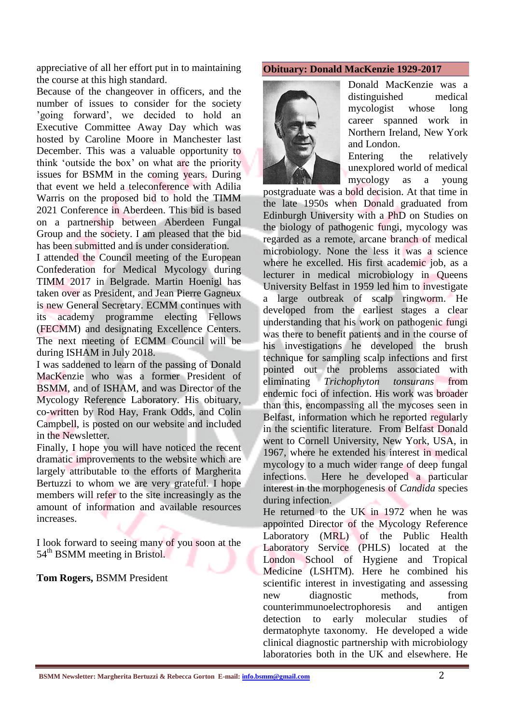appreciative of all her effort put in to maintaining the course at this high standard.

Because of the changeover in officers, and the number of issues to consider for the society 'going forward', we decided to hold an Executive Committee Away Day which was hosted by Caroline Moore in Manchester last December. This was a valuable opportunity to think 'outside the box' on what are the priority issues for BSMM in the coming years. During that event we held a teleconference with Adilia Warris on the proposed bid to hold the TIMM 2021 Conference in Aberdeen. This bid is based on a partnership between Aberdeen Fungal Group and the society. I am pleased that the bid has been submitted and is under consideration.

I attended the Council meeting of the European Confederation for Medical Mycology during TIMM 2017 in Belgrade. Martin Hoenigl has taken over as President, and Jean Pierre Gagneux is new General Secretary. ECMM continues with its academy programme electing Fellows (FECMM) and designating Excellence Centers. The next meeting of ECMM Council will be during ISHAM in July 2018.

I was saddened to learn of the passing of Donald MacKenzie who was a former President of BSMM, and of ISHAM, and was Director of the Mycology Reference Laboratory. His obituary, co-written by Rod Hay, Frank Odds, and Colin Campbell, is posted on our website and included in the Newsletter.

Finally, I hope you will have noticed the recent dramatic improvements to the website which are largely attributable to the efforts of Margherita Bertuzzi to whom we are very grateful. I hope members will refer to the site increasingly as the amount of information and available resources increases.

I look forward to seeing many of you soon at the 54<sup>th</sup> BSMM meeting in Bristol.

#### **Tom Rogers,** BSMM President

#### **Obituary: Donald MacKenzie 1929-2017**



Donald MacKenzie was a distinguished medical mycologist whose long career spanned work in Northern Ireland, New York and London.

Entering the relatively unexplored world of medical mycology as a young

postgraduate was a bold decision. At that time in the late 1950s when Donald graduated from Edinburgh University with a PhD on Studies on the biology of pathogenic fungi, mycology was regarded as a remote, arcane branch of medical microbiology. None the less it was a science where he excelled. His first academic job, as a lecturer in medical microbiology in Queens University Belfast in 1959 led him to investigate a large outbreak of scalp ringworm. He developed from the earliest stages a clear understanding that his work on pathogenic fungi was there to benefit patients and in the course of his investigations he developed the brush technique for sampling scalp infections and first pointed out the problems associated with eliminating *Trichophyton tonsurans* from endemic foci of infection. His work was broader than this, encompassing all the mycoses seen in Belfast, information which he reported regularly in the scientific literature. From Belfast Donald went to Cornell University, New York, USA, in 1967, where he extended his interest in medical mycology to a much wider range of deep fungal infections. Here he developed a particular interest in the morphogenesis of *Candida* species during infection.

He returned to the UK in 1972 when he was appointed Director of the Mycology Reference Laboratory (MRL) of the Public Health Laboratory Service (PHLS) located at the London School of Hygiene and Tropical Medicine (LSHTM). Here he combined his scientific interest in investigating and assessing new diagnostic methods, from counterimmunoelectrophoresis and antigen detection to early molecular studies of dermatophyte taxonomy. He developed a wide clinical diagnostic partnership with microbiology laboratories both in the UK and elsewhere. He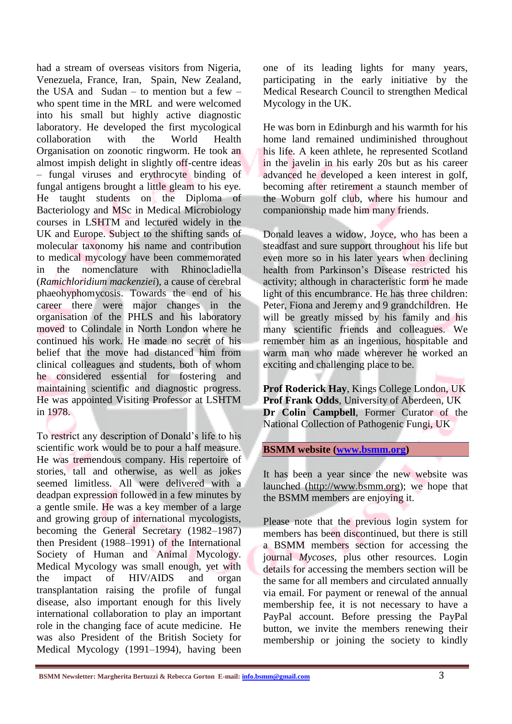had a stream of overseas visitors from Nigeria, Venezuela, France, Iran, Spain, New Zealand, the USA and Sudan – to mention but a few – who spent time in the MRL and were welcomed into his small but highly active diagnostic laboratory. He developed the first mycological collaboration with the World Health Organisation on zoonotic ringworm. He took an almost impish delight in slightly off-centre ideas – fungal viruses and erythrocyte binding of fungal antigens brought a little gleam to his eye. He taught students on the Diploma of Bacteriology and MSc in Medical Microbiology courses in LSHTM and lectured widely in the UK and Europe. Subject to the shifting sands of molecular taxonomy his name and contribution to medical mycology have been commemorated in the nomenclature with Rhinocladiella (*Ramichloridium mackenziei*), a cause of cerebral phaeohyphomycosis. Towards the end of his career there were major changes in the organisation of the PHLS and his laboratory moved to Colindale in North London where he continued his work. He made no secret of his belief that the move had distanced him from clinical colleagues and students, both of whom he considered essential for fostering and maintaining scientific and diagnostic progress. He was appointed Visiting Professor at LSHTM in 1978.

To restrict any description of Donald's life to his scientific work would be to pour a half measure. He was tremendous company. His repertoire of stories, tall and otherwise, as well as jokes seemed limitless. All were delivered with a deadpan expression followed in a few minutes by a gentle smile. He was a key member of a large and growing group of international mycologists, becoming the General Secretary (1982–1987) then President (1988–1991) of the International Society of Human and Animal Mycology. Medical Mycology was small enough, yet with the impact of HIV/AIDS and organ transplantation raising the profile of fungal disease, also important enough for this lively international collaboration to play an important role in the changing face of acute medicine. He was also President of the British Society for Medical Mycology (1991–1994), having been

one of its leading lights for many years, participating in the early initiative by the Medical Research Council to strengthen Medical Mycology in the UK.

He was born in Edinburgh and his warmth for his home land remained undiminished throughout his life. A keen athlete, he represented Scotland in the javelin in his early 20s but as his career advanced he developed a keen interest in golf, becoming after retirement a staunch member of the Woburn golf club, where his humour and companionship made him many friends.

Donald leaves a widow, Joyce, who has been a steadfast and sure support throughout his life but even more so in his later years when declining health from Parkinson's Disease restricted his activity; although in characteristic form he made light of this encumbrance. He has three children: Peter, Fiona and Jeremy and 9 grandchildren. He will be greatly missed by his family and his many scientific friends and colleagues. We remember him as an ingenious, hospitable and warm man who made wherever he worked an exciting and challenging place to be.

**Prof Roderick Hay**, Kings College London, UK **Prof Frank Odds**, University of Aberdeen, UK **Dr Colin Campbell**, Former Curator of the National Collection of Pathogenic Fungi, UK

**BSMM website [\(www.bsmm.org\)](http://www.bsmm.org/)**

It has been a year since the new website was launched [\(http://www.bsmm.org\)](http://www.bsmm.org/); we hope that the BSMM members are enjoying it.

Please note that the previous login system for members has been discontinued, but there is still a BSMM members section for accessing the journal *Mycoses*, plus other resources. Login details for accessing the members section will be the same for all members and circulated annually via email. For payment or renewal of the annual membership fee, it is not necessary to have a PayPal account. Before pressing the PayPal button, we invite the members renewing their membership or joining the society to kindly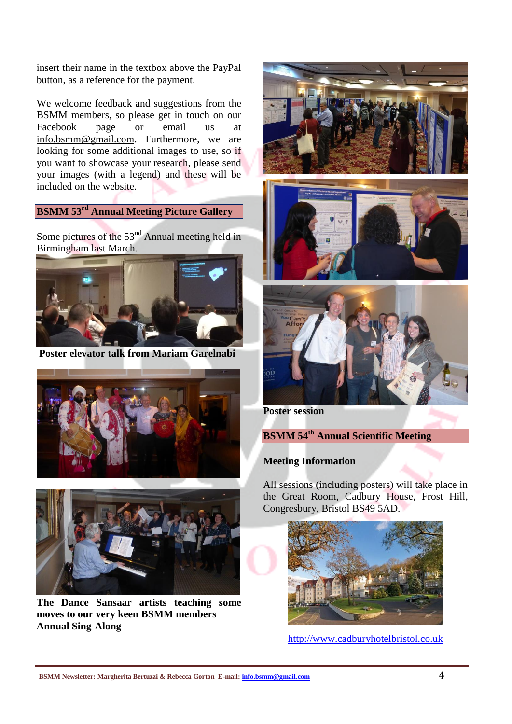insert their name in the textbox above the PayPal button, as a reference for the payment.

We welcome feedback and suggestions from the BSMM members, so please get in touch on our<br>Facebook page or email us at Facebook page or email us at [info.bsmm@gmail.com.](mailto:info.bsmm@gmail.com) Furthermore, we are looking for some additional images to use, so if you want to showcase your research, please send your images (with a legend) and these will be included on the website.

#### **BSMM 53rd Annual Meeting Picture Gallery**

Some pictures of the 53nd Annual meeting held in Birmingham last March.



**Poster elevator talk from Mariam Garelnabi**





**The Dance Sansaar artists teaching some moves to our very keen BSMM members Annual Sing-Along** 







**Poster session** 

#### **BSMM 54 th Annual Scientific Meeting**

#### **Meeting Information**

All sessions (including posters) will take place in the Great Room, Cadbury House, Frost Hill, Congresbury, Bristol BS49 5AD.



[http://www.cadburyhotelbristol.co.uk](http://www.cadburyhotelbristol.co.uk/)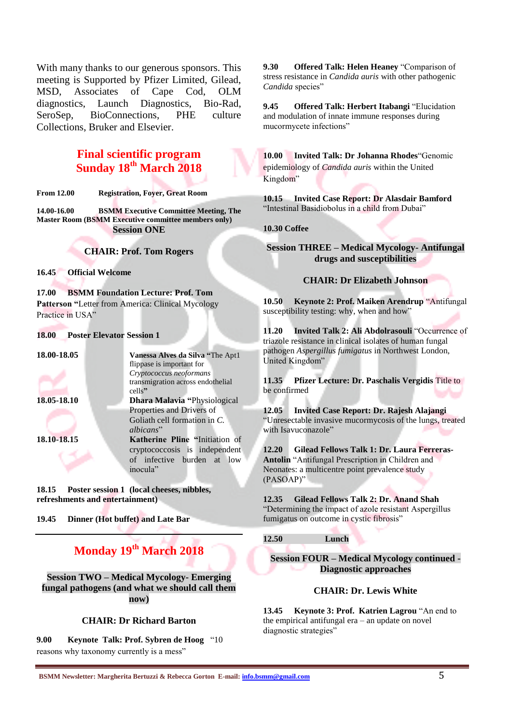With many thanks to our generous sponsors. This meeting is Supported by Pfizer Limited, Gilead, MSD, Associates of Cape Cod, OLM diagnostics, Launch Diagnostics, Bio-Rad, SeroSep, BioConnections, PHE culture Collections, Bruker and Elsevier.

#### **Final scientific program Sunday 18th March 2018**

**From 12.00 Registration, Foyer, Great Room**

**14.00-16.00 BSMM Executive Committee Meeting, The Master Room (BSMM Executive committee members only) Session ONE**

**CHAIR: Prof. Tom Rogers**

**16.45 Official Welcome**

**17.00 BSMM Foundation Lecture: Prof. Tom Patterson "**Letter from America: Clinical Mycology Practice in USA"

#### **18.00 Poster Elevator Session 1**

| 18.00-18.05 | Vanessa Alves da Silva "The Apt1    |
|-------------|-------------------------------------|
|             | flippase is important for           |
|             | Cryptococcus neoformans             |
|             | transmigration across endothelial   |
|             | cells"                              |
| 18.05-18.10 | <b>Dhara Malavia "Physiological</b> |
|             | Properties and Drivers of           |
|             | Goliath cell formation in C.        |
|             | albicans"                           |
| 18.10-18.15 | Katherine Pline "Initiation of      |
|             | cryptococcosis is independent       |
|             | of infective burden at low          |
|             | inocula"                            |
|             |                                     |

**18.15 Poster session 1 (local cheeses, nibbles, refreshments and entertainment)**

**19.45 Dinner (Hot buffet) and Late Bar**

#### **Monday 19th March 2018**

**Session TWO – Medical Mycology- Emerging fungal pathogens (and what we should call them now)**

#### **CHAIR: Dr Richard Barton**

**9.00 Keynote Talk: Prof. Sybren de Hoog** "10 reasons why taxonomy currently is a mess"

**9.30 Offered Talk: Helen Heaney** "Comparison of stress resistance in *Candida auris* with other pathogenic *Candida* species"

**9.45 Offered Talk: Herbert Itabangi** "Elucidation and modulation of innate immune responses during mucormycete infections"

**10.00 Invited Talk: Dr Johanna Rhodes**"Genomic epidemiology of *Candida auris* within the United Kingdom"

**10.15 Invited Case Report: Dr Alasdair Bamford**  "Intestinal Basidiobolus in a child from Dubai"

#### **10.30 Coffee**

**Session THREE – Medical Mycology- Antifungal drugs and susceptibilities** 

#### **CHAIR: Dr Elizabeth Johnson**

**10.50 Keynote 2: Prof. Maiken Arendrup** "Antifungal susceptibility testing: why, when and how"

**11.20 Invited Talk 2: Ali Abdolrasouli** "Occurrence of triazole resistance in clinical isolates of human fungal pathogen *Aspergillus fumigatus* in Northwest London, United Kingdom"

**11.35 Pfizer Lecture: Dr. Paschalis Vergidis** Title to be confirmed

**12.05 Invited Case Report: Dr. Rajesh Alajangi** "Unresectable invasive mucormycosis of the lungs, treated with Isavuconazole"

**12.20 Gilead Fellows Talk 1: Dr. Laura Ferreras-Antolin** "Antifungal Prescription in Children and Neonates: a multicentre point prevalence study (PASOAP)"

**12.35 Gilead Fellows Talk 2: Dr. Anand Shah**  "Determining the impact of azole resistant Aspergillus fumigatus on outcome in cystic fibrosis"

**12.50 Lunch**

**Session FOUR – Medical Mycology continued - Diagnostic approaches**

#### **CHAIR: Dr. Lewis White**

**13.45 Keynote 3: Prof. Katrien Lagrou** "An end to the empirical antifungal era – an update on novel diagnostic strategies"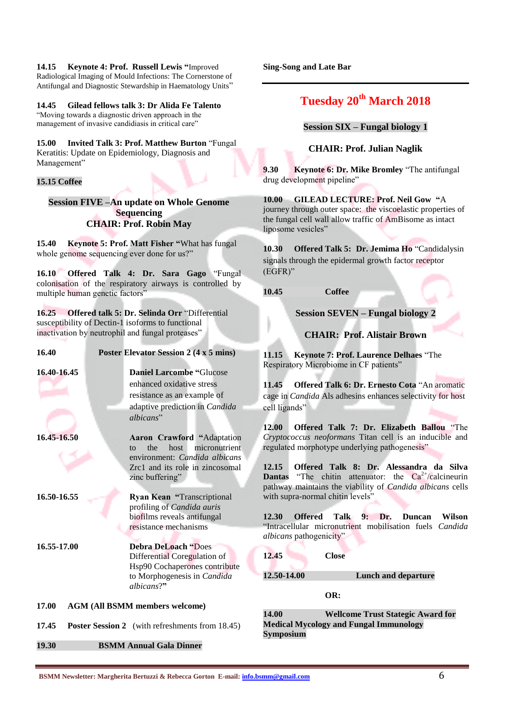**14.15 Keynote 4: Prof. Russell Lewis "**Improved Radiological Imaging of Mould Infections: The Cornerstone of Antifungal and Diagnostic Stewardship in Haematology Units"

**14.45 Gilead fellows talk 3: Dr Alida Fe Talento**  "Moving towards a diagnostic driven approach in the management of invasive candidiasis in critical care"

**15.00 Invited Talk 3: Prof. Matthew Burton** "Fungal Keratitis: Update on Epidemiology, Diagnosis and Management"

#### **15.15 Coffee**

**Session FIVE –An update on Whole Genome Sequencing CHAIR: Prof. Robin May**

**15.40 Keynote 5: Prof. Matt Fisher "**What has fungal whole genome sequencing ever done for us?"

**16.10 Offered Talk 4: Dr. Sara Gago** "Fungal colonisation of the respiratory airways is controlled by multiple human genetic factors'

**16.25 Offered talk 5: Dr. Selinda Orr** "Differential susceptibility of Dectin-1 isoforms to functional inactivation by neutrophil and fungal proteases"

| 16.40       | <b>Poster Elevator Session 2 (4 x 5 mins)</b>                                                                                            |
|-------------|------------------------------------------------------------------------------------------------------------------------------------------|
| 16.40-16.45 | <b>Daniel Larcombe "Glucose</b><br>enhanced oxidative stress<br>resistance as an example of                                              |
| 16.45-16.50 | adaptive prediction in Candida<br>albicans"<br><b>Aaron Crawford "Adaptation</b>                                                         |
|             | micronutrient<br>host<br>the<br>$f_{\Omega}$<br>environment: Candida albicans<br>Zrc1 and its role in zincosomal<br>zinc buffering"      |
| 16.50-16.55 | Ryan Kean "Transcriptional<br>profiling of Candida auris<br>biofilms reveals antifungal<br>resistance mechanisms                         |
| 16.55-17.00 | <b>Debra DeLoach "Does</b><br>Differential Coregulation of<br>Hsp90 Cochaperones contribute<br>to Morphogenesis in Candida<br>albicans?" |
| 17.00       | <b>AGM (All BSMM members welcome)</b>                                                                                                    |
| 17.45       | <b>Poster Session 2</b> (with refreshments from 18.45)                                                                                   |

**19.30 BSMM Annual Gala Dinner** 

**Sing-Song and Late Bar**

#### **Tuesday 20th March 2018**

**Session SIX – Fungal biology 1**

**CHAIR: Prof. Julian Naglik**

**9.30 Keynote 6: Dr. Mike Bromley** "The antifungal drug development pipeline"

**10.00 GILEAD LECTURE: Prof. Neil Gow "**A journey through outer space: the viscoelastic properties of the fungal cell wall allow traffic of AmBisome as intact liposome vesicles"

**10.30 Offered Talk 5: Dr. Jemima Ho** "Candidalysin signals through the epidermal growth factor receptor (EGFR)"

**10.45 Coffee**

**Session SEVEN – Fungal biology 2**

**CHAIR: Prof. Alistair Brown**

**11.15 Keynote 7: Prof. Laurence Delhaes** "The Respiratory Microbiome in CF patients"

**11.45 Offered Talk 6: Dr. Ernesto Cota** "An aromatic cage in *Candida* Als adhesins enhances selectivity for host cell ligands"

**12.00 Offered Talk 7: Dr. Elizabeth Ballou** "The *Cryptococcus neoformans* Titan cell is an inducible and regulated morphotype underlying pathogenesis"

**12.15 Offered Talk 8: Dr. Alessandra da Silva Dantas** "The chitin attenuator: the  $Ca^{2+}/c$  alcineurin pathway maintains the viability of *Candida albicans* cells with supra-normal chitin levels"

**12.30 Offered Talk 9: Dr. Duncan Wilson** "Intracellular micronutrient mobilisation fuels *Candida albicans* pathogenicity"

**12.45 Close**

**12.50-14.00 Lunch and departure**

**OR:**

**14.00 Wellcome Trust Stategic Award for Medical Mycology and Fungal Immunology Symposium**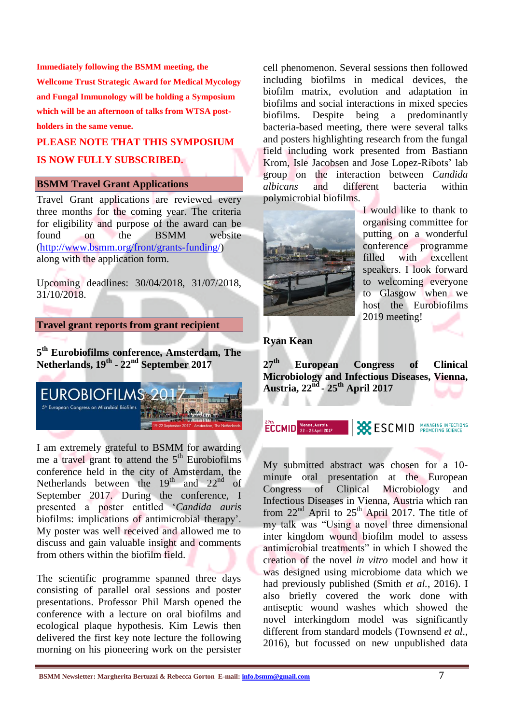**Immediately following the BSMM meeting, the Wellcome Trust Strategic Award for Medical Mycology and Fungal Immunology will be holding a Symposium which will be an afternoon of talks from WTSA postholders in the same venue.** 

### **PLEASE NOTE THAT THIS SYMPOSIUM IS NOW FULLY SUBSCRIBED.**

#### **BSMM Travel Grant Applications**

Travel Grant applications are reviewed every three months for the coming year. The criteria for eligibility and purpose of the award can be found on the BSMM website [\(http://www.bsmm.org/front/grants-funding/\)](http://www.bsmm.org/front/grants-funding/) along with the application form.

Upcoming deadlines: 30/04/2018, 31/07/2018, 31/10/2018.

#### **Travel grant reports from grant recipient**

**5 th Eurobiofilms conference, Amsterdam, The Netherlands, 19th - 22nd September 2017**



I am extremely grateful to BSMM for awarding me a travel grant to attend the  $5<sup>th</sup>$  Eurobiofilms conference held in the city of Amsterdam, the Netherlands between the  $19<sup>th</sup>$  and  $22<sup>nd</sup>$  of September 2017. During the conference, I presented a poster entitled '*Candida auris* biofilms: implications of antimicrobial therapy'. My poster was well received and allowed me to discuss and gain valuable insight and comments from others within the biofilm field.

The scientific programme spanned three days consisting of parallel oral sessions and poster presentations. Professor Phil Marsh opened the conference with a lecture on oral biofilms and ecological plaque hypothesis. Kim Lewis then delivered the first key note lecture the following morning on his pioneering work on the persister cell phenomenon. Several sessions then followed including biofilms in medical devices, the biofilm matrix, evolution and adaptation in biofilms and social interactions in mixed species biofilms. Despite being a predominantly bacteria-based meeting, there were several talks and posters highlighting research from the fungal field including work presented from Bastiann Krom, Isle Jacobsen and Jose Lopez-Ribots' lab group on the interaction between *Candida albicans* and different bacteria within polymicrobial biofilms.



I would like to thank to organising committee for putting on a wonderful conference programme filled with excellent speakers. I look forward to welcoming everyone to Glasgow when we host the Eurobiofilms 2019 meeting!

#### **Ryan Kean**

**27th European Congress of Clinical Microbiology and Infectious Diseases, Vienna, Austria, 22nd - 25th April 2017**

 $\overline{ECCMD}$  Vienna, Austria **SESCMID PROMOTING SCIENCE** 

My submitted abstract was chosen for a 10 minute oral presentation at the European Congress of Clinical Microbiology and Infectious Diseases in Vienna, Austria which ran from  $22<sup>nd</sup>$  April to  $25<sup>th</sup>$  April 2017. The title of my talk was "Using a novel three dimensional inter kingdom wound biofilm model to assess antimicrobial treatments" in which I showed the creation of the novel *in vitro* model and how it was designed using microbiome data which we had previously published (Smith *et al.*, 2016). I also briefly covered the work done with antiseptic wound washes which showed the novel interkingdom model was significantly different from standard models (Townsend *et al*., 2016), but focussed on new unpublished data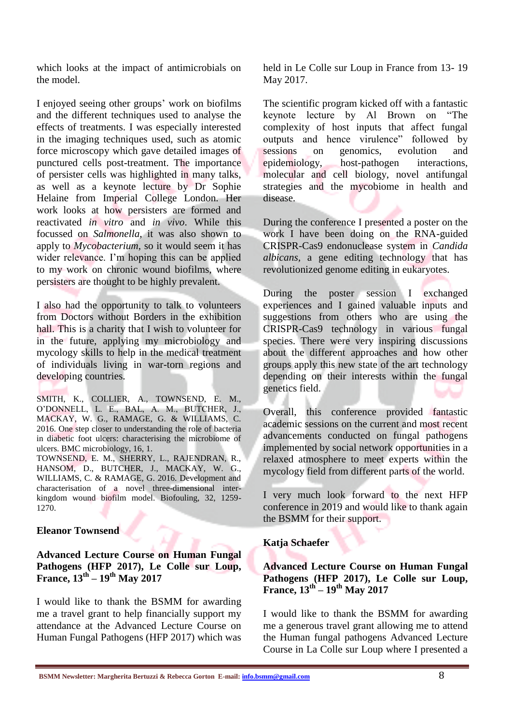which looks at the impact of antimicrobials on the model.

I enjoyed seeing other groups' work on biofilms and the different techniques used to analyse the effects of treatments. I was especially interested in the imaging techniques used, such as atomic force microscopy which gave detailed images of punctured cells post-treatment. The importance of persister cells was highlighted in many talks, as well as a keynote lecture by Dr Sophie Helaine from Imperial College London. Her work looks at how persisters are formed and reactivated *in vitro* and *in vivo*. While this focussed on *Salmonella*, it was also shown to apply to *Mycobacterium*, so it would seem it has wider relevance. I'm hoping this can be applied to my work on chronic wound biofilms, where persisters are thought to be highly prevalent.

I also had the opportunity to talk to volunteers from Doctors without Borders in the exhibition hall. This is a charity that I wish to volunteer for in the future, applying my microbiology and mycology skills to help in the medical treatment of individuals living in war-torn regions and developing countries.

SMITH, K., COLLIER, A., TOWNSEND, E. M., O'DONNELL, L. E., BAL, A. M., BUTCHER, J., MACKAY, W. G., RAMAGE, G. & WILLIAMS, C. 2016. One step closer to understanding the role of bacteria in diabetic foot ulcers: characterising the microbiome of ulcers. BMC microbiology, 16, 1. TOWNSEND, E. M., SHERRY, L., RAJENDRAN, R.,

HANSOM, D., BUTCHER, J., MACKAY, W. G., WILLIAMS, C. & RAMAGE, G. 2016. Development and characterisation of a novel three-dimensional interkingdom wound biofilm model. Biofouling, 32, 1259- 1270.

#### **Eleanor Townsend**

**Advanced Lecture Course on Human Fungal Pathogens (HFP 2017), Le Colle sur Loup, France, 13th – 19th May 2017**

I would like to thank the BSMM for awarding me a travel grant to help financially support my attendance at the Advanced Lecture Course on Human Fungal Pathogens (HFP 2017) which was held in Le Colle sur Loup in France from 13- 19 May 2017.

The scientific program kicked off with a fantastic keynote lecture by Al Brown on "The complexity of host inputs that affect fungal outputs and hence virulence" followed by sessions on genomics, evolution and epidemiology, host-pathogen interactions, molecular and cell biology, novel antifungal strategies and the mycobiome in health and disease.

During the conference I presented a poster on the work I have been doing on the RNA-guided CRISPR-Cas9 endonuclease system in *Candida albicans,* a gene editing technology that has revolutionized genome editing in eukaryotes.

During the poster session I exchanged experiences and I gained valuable inputs and suggestions from others who are using the CRISPR-Cas9 technology in various fungal species. There were very inspiring discussions about the different approaches and how other groups apply this new state of the art technology depending on their interests within the fungal genetics field.

Overall, this conference provided fantastic academic sessions on the current and most recent advancements conducted on fungal pathogens implemented by social network opportunities in a relaxed atmosphere to meet experts within the mycology field from different parts of the world.

I very much look forward to the next HFP conference in 2019 and would like to thank again the BSMM for their support.

#### **Katja Schaefer**

#### **Advanced Lecture Course on Human Fungal Pathogens (HFP 2017), Le Colle sur Loup, France, 13th – 19th May 2017**

I would like to thank the BSMM for awarding me a generous travel grant allowing me to attend the Human fungal pathogens Advanced Lecture Course in La Colle sur Loup where I presented a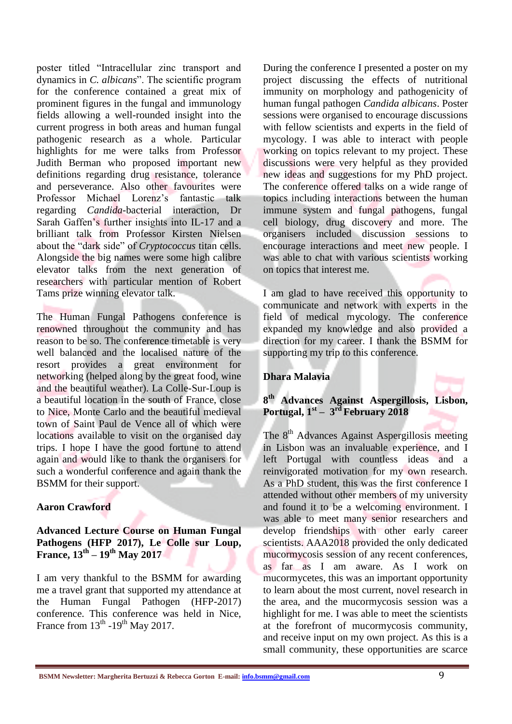poster titled "Intracellular zinc transport and dynamics in *C. albicans*". The scientific program for the conference contained a great mix of prominent figures in the fungal and immunology fields allowing a well-rounded insight into the current progress in both areas and human fungal pathogenic research as a whole. Particular highlights for me were talks from Professor Judith Berman who proposed important new definitions regarding drug resistance, tolerance and perseverance. Also other favourites were Professor Michael Lorenz's fantastic talk regarding *Candida*-bacterial interaction, Dr Sarah Gaffen's further insights into IL-17 and a brilliant talk from Professor Kirsten Nielsen about the "dark side" of *Cryptococcus* titan cells. Alongside the big names were some high calibre elevator talks from the next generation of researchers with particular mention of Robert Tams prize winning elevator talk.

The Human Fungal Pathogens conference is renowned throughout the community and has reason to be so. The conference timetable is very well balanced and the localised nature of the resort provides a great environment for networking (helped along by the great food, wine and the beautiful weather). La Colle-Sur-Loup is a beautiful location in the south of France, close to Nice, Monte Carlo and the beautiful medieval town of Saint Paul de Vence all of which were locations available to visit on the organised day trips. I hope I have the good fortune to attend again and would like to thank the organisers for such a wonderful conference and again thank the BSMM for their support.

#### **Aaron Crawford**

#### **Advanced Lecture Course on Human Fungal Pathogens (HFP 2017), Le Colle sur Loup, France, 13th – 19th May 2017**

I am very thankful to the BSMM for awarding me a travel grant that supported my attendance at the Human Fungal Pathogen (HFP-2017) conference. This conference was held in Nice, France from  $13^{th}$  -19<sup>th</sup> May 2017.

During the conference I presented a poster on my project discussing the effects of nutritional immunity on morphology and pathogenicity of human fungal pathogen *Candida albicans*. Poster sessions were organised to encourage discussions with fellow scientists and experts in the field of mycology. I was able to interact with people working on topics relevant to my project. These discussions were very helpful as they provided new ideas and suggestions for my PhD project. The conference offered talks on a wide range of topics including interactions between the human immune system and fungal pathogens, fungal cell biology, drug discovery and more. The organisers included discussion sessions to encourage interactions and meet new people. I was able to chat with various scientists working on topics that interest me.

I am glad to have received this opportunity to communicate and network with experts in the field of medical mycology. The conference expanded my knowledge and also provided a direction for my career. I thank the BSMM for supporting my trip to this conference.

#### **Dhara Malavia**

#### **8 th Advances Against Aspergillosis, Lisbon, Portugal, 1st – 3 rd February 2018**

The 8<sup>th</sup> Advances Against Aspergillosis meeting in Lisbon was an invaluable experience, and I left Portugal with countless ideas and a reinvigorated motivation for my own research. As a PhD student, this was the first conference I attended without other members of my university and found it to be a welcoming environment. I was able to meet many senior researchers and develop friendships with other early career scientists. AAA2018 provided the only dedicated mucormycosis session of any recent conferences, as far as I am aware. As I work on mucormycetes, this was an important opportunity to learn about the most current, novel research in the area, and the mucormycosis session was a highlight for me. I was able to meet the scientists at the forefront of mucormycosis community, and receive input on my own project. As this is a small community, these opportunities are scarce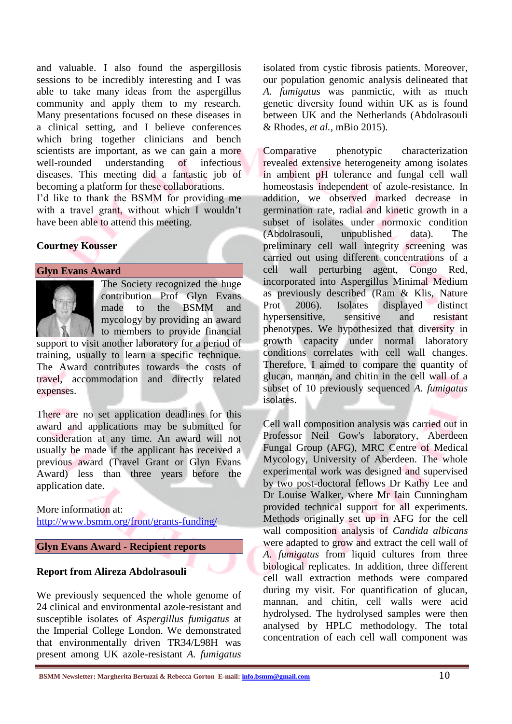and valuable. I also found the aspergillosis sessions to be incredibly interesting and I was able to take many ideas from the aspergillus community and apply them to my research. Many presentations focused on these diseases in a clinical setting, and I believe conferences which bring together clinicians and bench scientists are important, as we can gain a more well-rounded understanding of infectious diseases. This meeting did a fantastic job of becoming a platform for these collaborations.

I'd like to thank the BSMM for providing me with a travel grant, without which I wouldn't have been able to attend this meeting.

#### **Courtney Kousser**

#### **Glyn Evans Award**



The Society recognized the huge contribution Prof Glyn Evans made to the BSMM and mycology by providing an award to members to provide financial

support to visit another laboratory for a period of training, usually to learn a specific technique. The Award contributes towards the costs of travel, accommodation and directly related expenses.

There are no set application deadlines for this award and applications may be submitted for consideration at any time. An award will not usually be made if the applicant has received a previous award (Travel Grant or Glyn Evans Award) less than three years before the application date.

#### More information at:

<http://www.bsmm.org/front/grants-funding/>

#### **Glyn Evans Award - Recipient reports**

#### **Report from Alireza Abdolrasouli**

We previously sequenced the whole genome of 24 clinical and environmental azole-resistant and susceptible isolates of *Aspergillus fumigatus* at the Imperial College London. We demonstrated that environmentally driven TR34/L98H was present among UK azole-resistant *A. fumigatus* isolated from cystic fibrosis patients. Moreover, our population genomic analysis delineated that *A. fumigatus* was panmictic, with as much genetic diversity found within UK as is found between UK and the Netherlands (Abdolrasouli & Rhodes, *et al.,* mBio 2015).

Comparative phenotypic characterization revealed extensive heterogeneity among isolates in ambient pH tolerance and fungal cell wall homeostasis independent of azole-resistance. In addition, we observed marked decrease in germination rate, radial and kinetic growth in a subset of isolates under normoxic condition (Abdolrasouli, unpublished data). The preliminary cell wall integrity screening was carried out using different concentrations of a cell wall perturbing agent, Congo Red, incorporated into Aspergillus Minimal Medium as previously described (Ram & Klis, Nature Prot 2006). Isolates displayed distinct hypersensitive, sensitive and resistant phenotypes. We hypothesized that diversity in growth capacity under normal laboratory conditions correlates with cell wall changes. Therefore, I aimed to compare the quantity of glucan, mannan, and chitin in the cell wall of a subset of 10 previously sequenced *A. fumigatus* isolates.

Cell wall composition analysis was carried out in Professor Neil Gow's laboratory, Aberdeen Fungal Group (AFG), MRC Centre of Medical Mycology, University of Aberdeen. The whole experimental work was designed and supervised by two post-doctoral fellows Dr Kathy Lee and Dr Louise Walker, where Mr Iain Cunningham provided technical support for all experiments. Methods originally set up in AFG for the cell wall composition analysis of *Candida albicans* were adapted to grow and extract the cell wall of *A. fumigatus* from liquid cultures from three biological replicates. In addition, three different cell wall extraction methods were compared during my visit. For quantification of glucan, mannan, and chitin, cell walls were acid hydrolysed. The hydrolysed samples were then analysed by HPLC methodology. The total concentration of each cell wall component was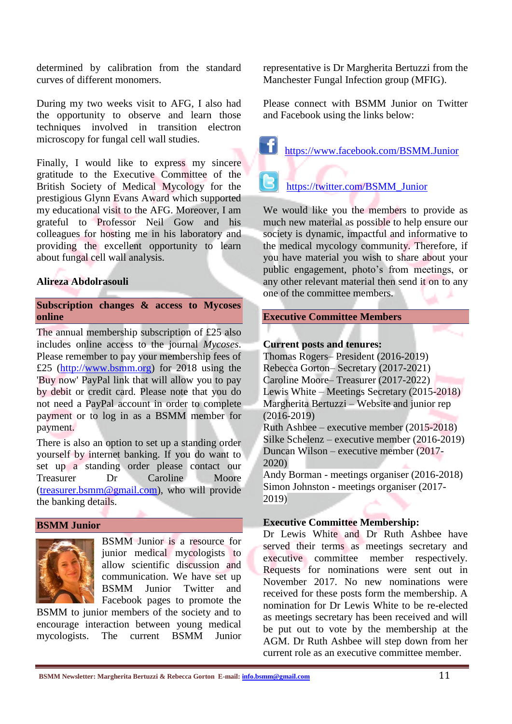determined by calibration from the standard curves of different monomers.

During my two weeks visit to AFG, I also had the opportunity to observe and learn those techniques involved in transition electron microscopy for fungal cell wall studies.

Finally, I would like to express my sincere gratitude to the Executive Committee of the British Society of Medical Mycology for the prestigious Glynn Evans Award which supported my educational visit to the AFG. Moreover, I am grateful to Professor Neil Gow and his colleagues for hosting me in his laboratory and providing the excellent opportunity to learn about fungal cell wall analysis.

#### **Alireza Abdolrasouli**

#### **Subscription changes & access to Mycoses online**

The annual membership subscription of £25 also includes online access to the journal *Mycoses*. Please remember to pay your membership fees of £25 [\(http://www.bsmm.org\)](http://www.bsmm.org/) for 2018 using the 'Buy now' PayPal link that will allow you to pay by debit or credit card. Please note that you do not need a PayPal account in order to complete payment or to log in as a BSMM member for payment.

There is also an option to set up a standing order yourself by internet banking. If you do want to set up a standing order please contact our<br>Treasurer Dr Caroline Moore Treasurer Dr Caroline Moore [\(treasurer.bsmm@gmail.com\)](mailto:treasurer.bsmm@gmail.com), who will provide the banking details.

#### **BSMM Junior**



BSMM Junior is a resource for junior medical mycologists to allow scientific discussion and communication. We have set up BSMM Junior Twitter and Facebook pages to promote the

BSMM to junior members of the society and to encourage interaction between young medical mycologists. The current BSMM Junior representative is Dr Margherita Bertuzzi from the Manchester Fungal Infection group (MFIG).

Please connect with BSMM Junior on Twitter and Facebook using the links below:

<https://www.facebook.com/BSMM.Junior>

[https://twitter.com/BSMM\\_Junior](https://twitter.com/BSMM_Junior)

We would like you the members to provide as much new material as possible to help ensure our society is dynamic, impactful and informative to the medical mycology community. Therefore, if you have material you wish to share about your public engagement, photo's from meetings, or any other relevant material then send it on to any one of the committee members.

#### **Executive Committee Members**

#### **Current posts and tenures:**

Thomas Rogers– President (2016-2019) Rebecca Gorton– Secretary (2017-2021) Caroline Moore– Treasurer (2017-2022) Lewis White – Meetings Secretary (2015-2018) Margherita Bertuzzi – Website and junior rep (2016-2019) Ruth Ashbee – executive member (2015-2018) Silke Schelenz – executive member (2016-2019) Duncan Wilson – executive member (2017- 2020) Andy Borman - meetings organiser (2016-2018) Simon Johnston - meetings organiser (2017-

2019)

#### **Executive Committee Membership:**

Dr Lewis White and Dr Ruth Ashbee have served their terms as meetings secretary and executive committee member respectively. Requests for nominations were sent out in November 2017. No new nominations were received for these posts form the membership. A nomination for Dr Lewis White to be re-elected as meetings secretary has been received and will be put out to vote by the membership at the AGM. Dr Ruth Ashbee will step down from her current role as an executive committee member.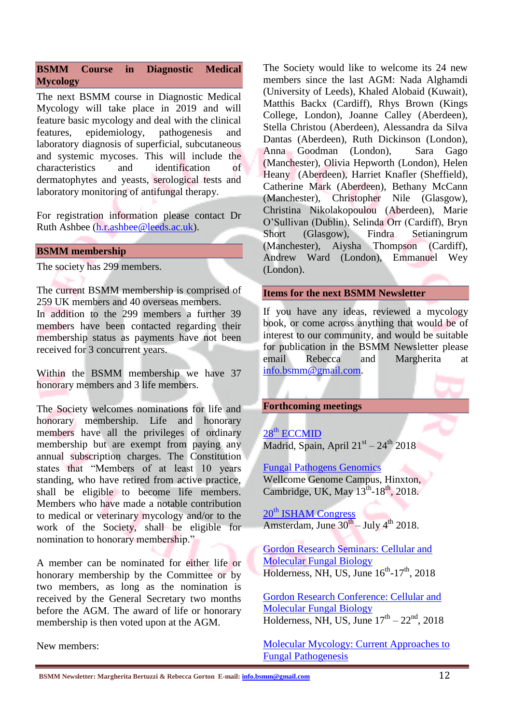#### **BSMM Course in [Diagnostic Medical](http://www.bsmm.org/file/148#overlay-context=node/43/edit)  [Mycology](http://www.bsmm.org/file/148#overlay-context=node/43/edit)**

The next BSMM [course in Diagnostic Medical](http://www.bsmm.org/file/148#overlay-context=node/43/edit)  [Mycology w](http://www.bsmm.org/file/148#overlay-context=node/43/edit)ill take place in 2019 and will feature basic mycology and deal with the clinical features, epidemiology, pathogenesis and laboratory diagnosis of superficial, subcutaneous and systemic mycoses. This will include the characteristics and identification of dermatophytes and yeasts, serological tests and laboratory monitoring of antifungal therapy.

For registration information please contact Dr Ruth Ashbee [\(h.r.ashbee@leeds.ac.uk\)](mailto:H.R.Ashbee@leeds.ac.uk).

#### **BSMM membership**

The society has 299 members.

The current BSMM membership is comprised of 259 UK members and 40 overseas members. In addition to the 299 members a further 39

members have been contacted regarding their membership status as payments have not been received for 3 concurrent years.

Within the BSMM membership we have 37 honorary members and 3 life members.

The Society welcomes nominations for life and honorary membership. Life and honorary members have all the privileges of ordinary membership but are exempt from paying any annual subscription charges. The Constitution states that "Members of at least 10 years standing, who have retired from active practice, shall be eligible to become life members. Members who have made a notable contribution to medical or veterinary mycology and/or to the work of the Society, shall be eligible for nomination to honorary membership."

A member can be nominated for either life or honorary membership by the Committee or by two members, as long as the nomination is received by the General Secretary two months before the AGM. The award of life or honorary membership is then voted upon at the AGM.

New members:

The Society would like to welcome its 24 new members since the last AGM: Nada Alghamdi (University of Leeds), Khaled Alobaid (Kuwait), Matthis Backx (Cardiff), Rhys Brown (Kings College, London), Joanne Calley (Aberdeen), Stella Christou (Aberdeen), Alessandra da Silva Dantas (Aberdeen), Ruth Dickinson (London), Anna Goodman (London), Sara Gago (Manchester), Olivia Hepworth (London), Helen Heany (Aberdeen), Harriet Knafler (Sheffield), Catherine Mark (Aberdeen), Bethany McCann (Manchester), Christopher Nile (Glasgow), Christina Nikolakopoulou (Aberdeen), Marie O'Sullivan (Dublin), Selinda Orr (Cardiff), Bryn Short (Glasgow), Findra Setianingrum (Manchester), Aiysha Thompson (Cardiff), Andrew Ward (London), Emmanuel Wey (London).

#### **Items for the next BSMM Newsletter**

If you have any ideas, reviewed a mycology book, or come across anything that would be of interest to our community, and would be suitable for publication in the BSMM Newsletter please email Rebecca and Margherita at [info.bsmm@gmail.com.](mailto:info.bsmm@gmail.com)

#### **Forthcoming meetings**

28<sup>th</sup> [ECCMID](http://www.eccmid.org/) Madrid, Spain, April  $21<sup>st</sup> - 24<sup>th</sup>$  2018

[Fungal Pathogens Genomics](https://coursesandconferences.wellcomegenomecampus.org/events/item.aspx?e=690) Wellcome Genome Campus, Hinxton, Cambridge, UK, May  $13^{\text{th}}$ -18<sup>th</sup>, 2018.

20<sup>th</sup> [ISHAM Congress](https://www.isham2018.org/en/Home_10_6_12.html) Amsterdam, June  $30^{th}$  – July 4<sup>th</sup> 2018.

[Gordon Research Seminars: Cellular and](https://www.grc.org/cellular-and-molecular-fungal-biology-grs-conference/2018/)  [Molecular Fungal Biology](https://www.grc.org/cellular-and-molecular-fungal-biology-grs-conference/2018/) Holderness, NH, US, June  $16^{th}$ - $17^{th}$ , 2018

[Gordon Research Conference: Cellular and](https://www.grc.org/cellular-and-molecular-fungal-biology-conference/2018/)  [Molecular Fungal Biology](https://www.grc.org/cellular-and-molecular-fungal-biology-conference/2018/) Holderness, NH, US, June  $17<sup>th</sup> - 22<sup>nd</sup>$ , 2018

[Molecular Mycology: Current Approaches to](http://www.mbl.edu/education/special-topics-courses/molecular-mycology-current-approaches-to-fungal-pathogenesis/)  [Fungal Pathogenesis](http://www.mbl.edu/education/special-topics-courses/molecular-mycology-current-approaches-to-fungal-pathogenesis/)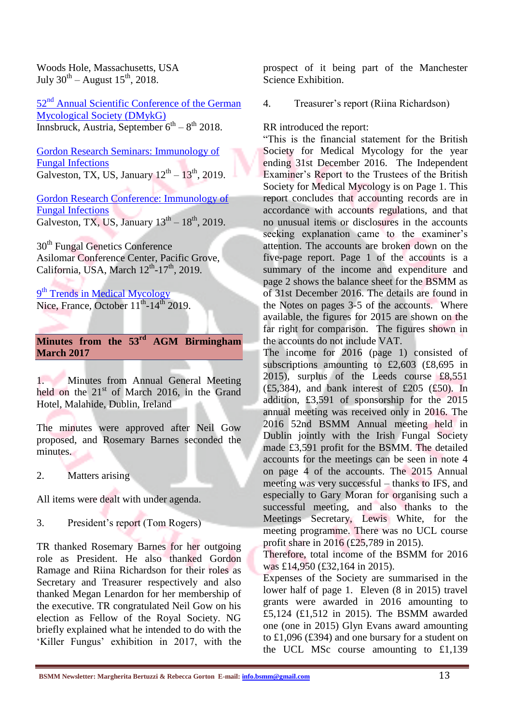Woods Hole, Massachusetts, USA July  $30^{\text{th}}$  – August  $15^{\text{th}}$ , 2018.

52nd [Annual Scientific Conference of the German](http://www.dmykg-kongress.de/en/general-information/about-innsbruck/)  [Mycological Society \(DMykG\)](http://www.dmykg-kongress.de/en/general-information/about-innsbruck/) Innsbruck, Austria, September  $6^{th} - 8^{th}$  2018.

[Gordon Research Seminars: Immunology of](https://www.grc.org/immunology-of-fungal-infections-grs-conference/2019/)  [Fungal Infections](https://www.grc.org/immunology-of-fungal-infections-grs-conference/2019/) Galveston, TX, US, January  $12^{th} - 13^{th}$ , 2019.

[Gordon Research Conference: Immunology of](https://www.grc.org/immunology-of-fungal-infections-conference/2019/)  [Fungal Infections](https://www.grc.org/immunology-of-fungal-infections-conference/2019/) Galveston, TX, US, January  $13<sup>th</sup> - 18<sup>th</sup>$ , 2019.

30<sup>th</sup> Fungal Genetics Conference Asilomar Conference Center, Pacific Grove, California, USA, March  $12^{th}$ -17<sup>th</sup>, 2019.

<sup>9th</sup> [Trends in Medical Mycology](https://www.timm2019.org/nl/Home_10_1_6.html) Nice, France, October  $11<sup>th</sup>$ -14<sup>th</sup> 2019.

#### **Minutes from the 53 rd AGM Birmingham March 2017**

1. Minutes from Annual General Meeting held on the  $21<sup>st</sup>$  of March 2016, in the Grand Hotel, Malahide, Dublin, Ireland

The minutes were approved after Neil Gow proposed, and Rosemary Barnes seconded the minutes.

2. Matters arising

All items were dealt with under agenda.

3. President's report (Tom Rogers)

TR thanked Rosemary Barnes for her outgoing role as President. He also thanked Gordon Ramage and Riina Richardson for their roles as Secretary and Treasurer respectively and also thanked Megan Lenardon for her membership of the executive. TR congratulated Neil Gow on his election as Fellow of the Royal Society. NG briefly explained what he intended to do with the 'Killer Fungus' exhibition in 2017, with the prospect of it being part of the Manchester Science Exhibition.

4. Treasurer's report (Riina Richardson)

RR introduced the report:

"This is the financial statement for the British Society for Medical Mycology for the year ending 31st December 2016. The Independent Examiner's Report to the Trustees of the British Society for Medical Mycology is on Page 1. This report concludes that accounting records are in accordance with accounts regulations, and that no unusual items or disclosures in the accounts seeking explanation came to the examiner's attention. The accounts are broken down on the five-page report. Page 1 of the accounts is a summary of the income and expenditure and page 2 shows the balance sheet for the BSMM as of 31st December 2016. The details are found in the Notes on pages 3-5 of the accounts. Where available, the figures for 2015 are shown on the far right for comparison. The figures shown in the accounts do not include VAT.

The income for 2016 (page 1) consisted of subscriptions amounting to £2,603 (£8,695 in 2015), surplus of the Leeds course £8,551  $(£5,384)$ , and bank interest of £205 (£50). In addition, £3,591 of sponsorship for the 2015 annual meeting was received only in 2016. The 2016 52nd BSMM Annual meeting held in Dublin jointly with the Irish Fungal Society made £3,591 profit for the BSMM. The detailed accounts for the meetings can be seen in note 4 on page 4 of the accounts. The 2015 Annual meeting was very successful – thanks to IFS, and especially to Gary Moran for organising such a successful meeting, and also thanks to the Meetings Secretary, Lewis White, for the meeting programme. There was no UCL course profit share in 2016 (£25,789 in 2015).

Therefore, total income of the BSMM for 2016 was £14,950 (£32,164 in 2015).

Expenses of the Society are summarised in the lower half of page 1. Eleven (8 in 2015) travel grants were awarded in 2016 amounting to £5,124 (£1,512 in 2015). The BSMM awarded one (one in 2015) Glyn Evans award amounting to £1,096 (£394) and one bursary for a student on the UCL MSc course amounting to £1,139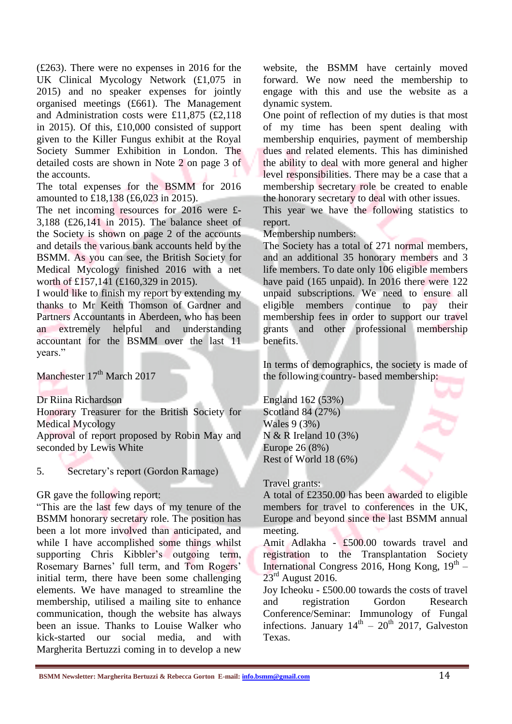(£263). There were no expenses in 2016 for the UK Clinical Mycology Network (£1,075 in 2015) and no speaker expenses for jointly organised meetings (£661). The Management and Administration costs were £11,875 (£2,118 in 2015). Of this, £10,000 consisted of support given to the Killer Fungus exhibit at the Royal Society Summer Exhibition in London. The detailed costs are shown in Note 2 on page 3 of the accounts.

The total expenses for the BSMM for 2016 amounted to £18,138 (£6,023 in 2015).

The net incoming resources for 2016 were £-3,188 (£26,141 in 2015). The balance sheet of the Society is shown on page 2 of the accounts and details the various bank accounts held by the BSMM. As you can see, the British Society for Medical Mycology finished 2016 with a net worth of £157,141 (£160,329 in 2015).

I would like to finish my report by extending my thanks to Mr Keith Thomson of Gardner and Partners Accountants in Aberdeen, who has been an extremely helpful and understanding accountant for the BSMM over the last 11 years."

Manchester 17<sup>th</sup> March 2017

Dr Riina Richardson

Honorary Treasurer for the British Society for Medical Mycology

Approval of report proposed by Robin May and seconded by Lewis White

#### 5. Secretary's report (Gordon Ramage)

#### GR gave the following report:

"This are the last few days of my tenure of the BSMM honorary secretary role. The position has been a lot more involved than anticipated, and while I have accomplished some things whilst supporting Chris Kibbler's outgoing term, Rosemary Barnes' full term, and Tom Rogers' initial term, there have been some challenging elements. We have managed to streamline the membership, utilised a mailing site to enhance communication, though the website has always been an issue. Thanks to Louise Walker who kick-started our social media, and with Margherita Bertuzzi coming in to develop a new

website, the BSMM have certainly moved forward. We now need the membership to engage with this and use the website as a dynamic system.

One point of reflection of my duties is that most of my time has been spent dealing with membership enquiries, payment of membership dues and related elements. This has diminished the ability to deal with more general and higher level responsibilities. There may be a case that a membership secretary role be created to enable the honorary secretary to deal with other issues.

This year we have the following statistics to report.

Membership numbers:

The Society has a total of 271 normal members, and an additional 35 honorary members and 3 life members. To date only 106 eligible members have paid (165 unpaid). In 2016 there were 122 unpaid subscriptions. We need to ensure all eligible members continue to pay their membership fees in order to support our travel grants and other professional membership benefits.

In terms of demographics, the society is made of the following country- based membership:

England 162 (53%) Scotland 84 (27%) Wales 9 (3%) N & R Ireland 10 (3%) Europe 26 (8%) Rest of World 18 (6%)

#### Travel grants:

A total of £2350.00 has been awarded to eligible members for travel to conferences in the UK, Europe and beyond since the last BSMM annual meeting.

Amit Adlakha - £500.00 towards travel and registration to the Transplantation Society International Congress 2016, Hong Kong, 19<sup>th</sup> - $23<sup>rd</sup>$  August 2016.

Joy Icheoku - £500.00 towards the costs of travel and registration Gordon Research Conference/Seminar: Immunology of Fungal infections. January  $14<sup>th</sup> - 20<sup>th</sup>$  2017, Galveston Texas.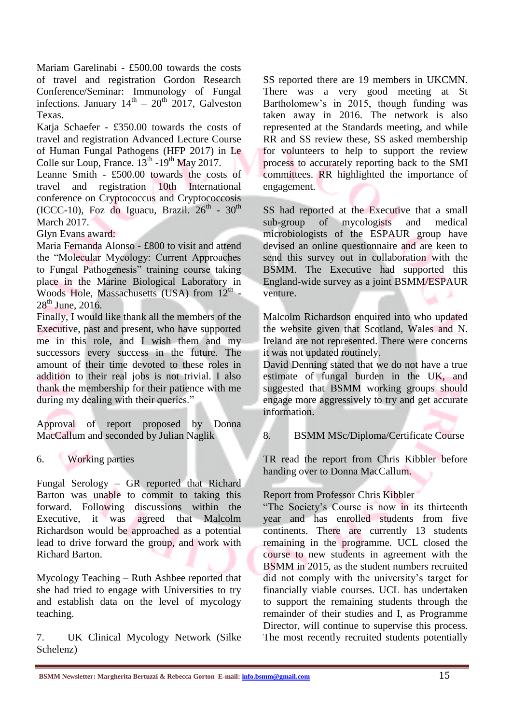Mariam Garelinabi - £500.00 towards the costs of travel and registration Gordon Research Conference/Seminar: Immunology of Fungal infections. January  $14<sup>th</sup> - 20<sup>th</sup>$  2017, Galveston Texas.

Katja Schaefer - £350.00 towards the costs of travel and registration Advanced Lecture Course of Human Fungal Pathogens (HFP 2017) in Le Colle sur Loup, France.  $13^{th}$  -19<sup>th</sup> May 2017.

Leanne Smith - £500.00 towards the costs of travel and registration 10th International conference on Cryptococcus and Cryptococcosis (ICCC-10), Foz do Iguacu, Brazil.  $26<sup>th</sup>$  -  $30<sup>th</sup>$ March 2017.

Glyn Evans award:

Maria Fernanda Alonso - £800 to visit and attend the "Molecular Mycology: Current Approaches to Fungal Pathogenesis" training course taking place in the Marine Biological Laboratory in Woods Hole, Massachusetts (USA) from  $12<sup>th</sup>$  - $28<sup>th</sup>$  June, 2016.

Finally, I would like thank all the members of the Executive, past and present, who have supported me in this role, and I wish them and my successors every success in the future. The amount of their time devoted to these roles in addition to their real jobs is not trivial. I also thank the membership for their patience with me during my dealing with their queries."

Approval of report proposed by Donna MacCallum and seconded by Julian Naglik

6. Working parties

Fungal Serology – GR reported that Richard Barton was unable to commit to taking this forward. Following discussions within the Executive, it was agreed that Malcolm Richardson would be approached as a potential lead to drive forward the group, and work with Richard Barton.

Mycology Teaching – Ruth Ashbee reported that she had tried to engage with Universities to try and establish data on the level of mycology teaching.

7. UK Clinical Mycology Network (Silke Schelenz)

SS reported there are 19 members in UKCMN. There was a very good meeting at St Bartholomew's in 2015, though funding was taken away in 2016. The network is also represented at the Standards meeting, and while RR and SS review these, SS asked membership for volunteers to help to support the review process to accurately reporting back to the SMI committees. RR highlighted the importance of engagement.

SS had reported at the Executive that a small sub-group of mycologists and medical microbiologists of the ESPAUR group have devised an online questionnaire and are keen to send this survey out in collaboration with the BSMM. The Executive had supported this England-wide survey as a joint BSMM/ESPAUR venture.

Malcolm Richardson enquired into who updated the website given that Scotland, Wales and N. Ireland are not represented. There were concerns it was not updated routinely.

David Denning stated that we do not have a true estimate of fungal burden in the UK, and suggested that BSMM working groups should engage more aggressively to try and get accurate information.

#### 8. BSMM MSc/Diploma/Certificate Course

TR read the report from Chris Kibbler before handing over to Donna MacCallum.

#### Report from Professor Chris Kibbler

"The Society's Course is now in its thirteenth year and has enrolled students from five continents. There are currently 13 students remaining in the programme. UCL closed the course to new students in agreement with the BSMM in 2015, as the student numbers recruited did not comply with the university's target for financially viable courses. UCL has undertaken to support the remaining students through the remainder of their studies and I, as Programme Director, will continue to supervise this process. The most recently recruited students potentially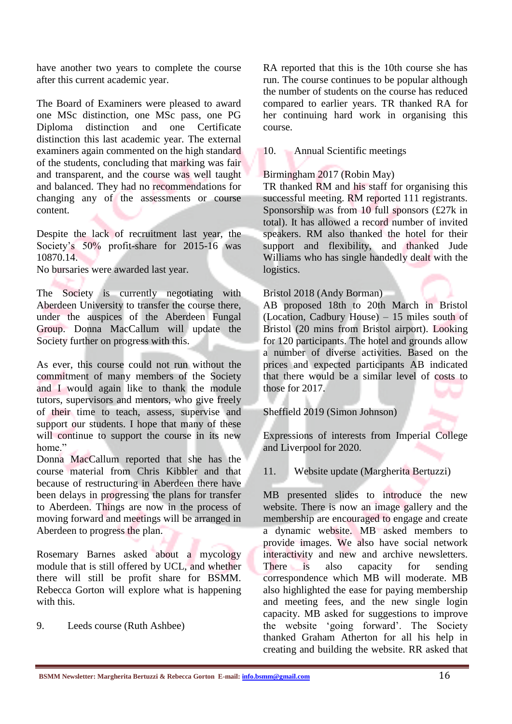have another two years to complete the course after this current academic year.

The Board of Examiners were pleased to award one MSc distinction, one MSc pass, one PG distinction and distinction this last academic year. The external examiners again commented on the high standard of the students, concluding that marking was fair and transparent, and the course was well taught and balanced. They had no recommendations for changing any of the assessments or course content.

Despite the lack of recruitment last year, the Society's 50% profit-share for 2015-16 was 10870.14.

No bursaries were awarded last year.

The Society is currently negotiating with Aberdeen University to transfer the course there, under the auspices of the Aberdeen Fungal Group. Donna MacCallum will update the Society further on progress with this.

As ever, this course could not run without the commitment of many members of the Society and I would again like to thank the module tutors, supervisors and mentors, who give freely of their time to teach, assess, supervise and support our students. I hope that many of these will continue to support the course in its new home"

Donna MacCallum reported that she has the course material from Chris Kibbler and that because of restructuring in Aberdeen there have been delays in progressing the plans for transfer to Aberdeen. Things are now in the process of moving forward and meetings will be arranged in Aberdeen to progress the plan.

Rosemary Barnes asked about a mycology module that is still offered by UCL, and whether there will still be profit share for BSMM. Rebecca Gorton will explore what is happening with this.

9. Leeds course (Ruth Ashbee)

RA reported that this is the 10th course she has run. The course continues to be popular although the number of students on the course has reduced compared to earlier years. TR thanked RA for her continuing hard work in organising this course.

10. Annual Scientific meetings

#### Birmingham 2017 (Robin May)

TR thanked RM and his staff for organising this successful meeting. RM reported 111 registrants. Sponsorship was from 10 full sponsors  $(\text{\pounds}27k$  in total). It has allowed a record number of invited speakers. RM also thanked the hotel for their support and flexibility, and thanked Jude Williams who has single handedly dealt with the logistics.

#### Bristol 2018 (Andy Borman)

AB proposed 18th to 20th March in Bristol (Location, Cadbury House) – 15 miles south of Bristol (20 mins from Bristol airport). Looking for 120 participants. The hotel and grounds allow a number of diverse activities. Based on the prices and expected participants AB indicated that there would be a similar level of costs to those for 2017.

Sheffield 2019 (Simon Johnson)

Expressions of interests from Imperial College and Liverpool for 2020.

11. Website update (Margherita Bertuzzi)

MB presented slides to introduce the new website. There is now an image gallery and the membership are encouraged to engage and create a dynamic website. MB asked members to provide images. We also have social network interactivity and new and archive newsletters. There is also capacity for sending correspondence which MB will moderate. MB also highlighted the ease for paying membership and meeting fees, and the new single login capacity. MB asked for suggestions to improve the website 'going forward'. The Society thanked Graham Atherton for all his help in creating and building the website. RR asked that